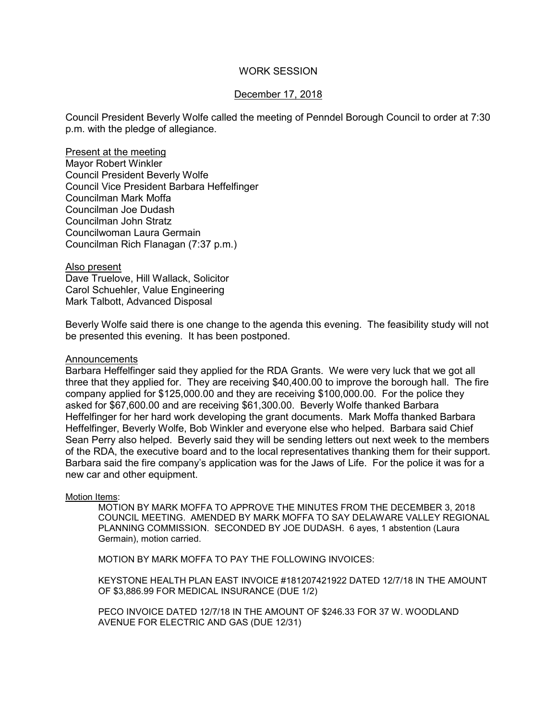## WORK SESSION

# December 17, 2018

Council President Beverly Wolfe called the meeting of Penndel Borough Council to order at 7:30 p.m. with the pledge of allegiance.

Present at the meeting Mayor Robert Winkler Council President Beverly Wolfe Council Vice President Barbara Heffelfinger Councilman Mark Moffa Councilman Joe Dudash Councilman John Stratz Councilwoman Laura Germain Councilman Rich Flanagan (7:37 p.m.)

Also present

Dave Truelove, Hill Wallack, Solicitor Carol Schuehler, Value Engineering Mark Talbott, Advanced Disposal

Beverly Wolfe said there is one change to the agenda this evening. The feasibility study will not be presented this evening. It has been postponed.

#### **Announcements**

Barbara Heffelfinger said they applied for the RDA Grants. We were very luck that we got all three that they applied for. They are receiving \$40,400.00 to improve the borough hall. The fire company applied for \$125,000.00 and they are receiving \$100,000.00. For the police they asked for \$67,600.00 and are receiving \$61,300.00. Beverly Wolfe thanked Barbara Heffelfinger for her hard work developing the grant documents. Mark Moffa thanked Barbara Heffelfinger, Beverly Wolfe, Bob Winkler and everyone else who helped. Barbara said Chief Sean Perry also helped. Beverly said they will be sending letters out next week to the members of the RDA, the executive board and to the local representatives thanking them for their support. Barbara said the fire company's application was for the Jaws of Life. For the police it was for a new car and other equipment.

#### Motion Items:

MOTION BY MARK MOFFA TO APPROVE THE MINUTES FROM THE DECEMBER 3, 2018 COUNCIL MEETING. AMENDED BY MARK MOFFA TO SAY DELAWARE VALLEY REGIONAL PLANNING COMMISSION. SECONDED BY JOE DUDASH. 6 ayes, 1 abstention (Laura Germain), motion carried.

MOTION BY MARK MOFFA TO PAY THE FOLLOWING INVOICES:

KEYSTONE HEALTH PLAN EAST INVOICE #181207421922 DATED 12/7/18 IN THE AMOUNT OF \$3,886.99 FOR MEDICAL INSURANCE (DUE 1/2)

PECO INVOICE DATED 12/7/18 IN THE AMOUNT OF \$246.33 FOR 37 W. WOODLAND AVENUE FOR ELECTRIC AND GAS (DUE 12/31)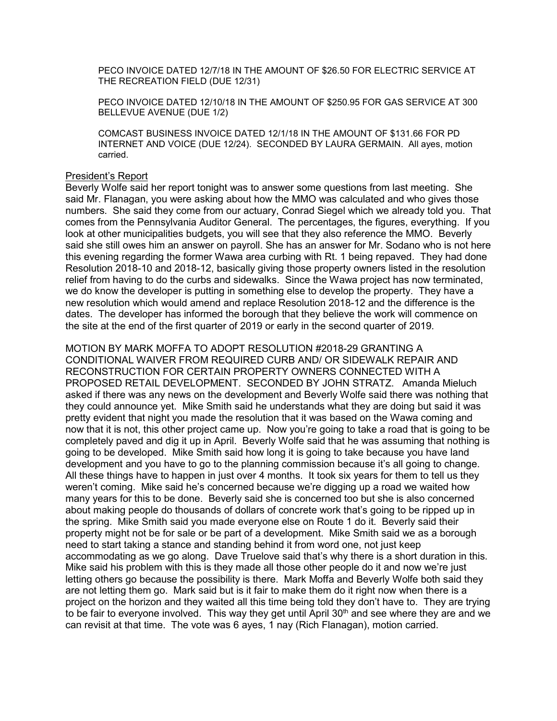PECO INVOICE DATED 12/7/18 IN THE AMOUNT OF \$26.50 FOR ELECTRIC SERVICE AT THE RECREATION FIELD (DUE 12/31)

PECO INVOICE DATED 12/10/18 IN THE AMOUNT OF \$250.95 FOR GAS SERVICE AT 300 BELLEVUE AVENUE (DUE 1/2)

COMCAST BUSINESS INVOICE DATED 12/1/18 IN THE AMOUNT OF \$131.66 FOR PD INTERNET AND VOICE (DUE 12/24). SECONDED BY LAURA GERMAIN. All ayes, motion carried.

#### President's Report

Beverly Wolfe said her report tonight was to answer some questions from last meeting. She said Mr. Flanagan, you were asking about how the MMO was calculated and who gives those numbers. She said they come from our actuary, Conrad Siegel which we already told you. That comes from the Pennsylvania Auditor General. The percentages, the figures, everything. If you look at other municipalities budgets, you will see that they also reference the MMO. Beverly said she still owes him an answer on payroll. She has an answer for Mr. Sodano who is not here this evening regarding the former Wawa area curbing with Rt. 1 being repaved. They had done Resolution 2018-10 and 2018-12, basically giving those property owners listed in the resolution relief from having to do the curbs and sidewalks. Since the Wawa project has now terminated, we do know the developer is putting in something else to develop the property. They have a new resolution which would amend and replace Resolution 2018-12 and the difference is the dates. The developer has informed the borough that they believe the work will commence on the site at the end of the first quarter of 2019 or early in the second quarter of 2019.

MOTION BY MARK MOFFA TO ADOPT RESOLUTION #2018-29 GRANTING A CONDITIONAL WAIVER FROM REQUIRED CURB AND/ OR SIDEWALK REPAIR AND RECONSTRUCTION FOR CERTAIN PROPERTY OWNERS CONNECTED WITH A PROPOSED RETAIL DEVELOPMENT. SECONDED BY JOHN STRATZ. Amanda Mieluch asked if there was any news on the development and Beverly Wolfe said there was nothing that they could announce yet. Mike Smith said he understands what they are doing but said it was pretty evident that night you made the resolution that it was based on the Wawa coming and now that it is not, this other project came up. Now you're going to take a road that is going to be completely paved and dig it up in April. Beverly Wolfe said that he was assuming that nothing is going to be developed. Mike Smith said how long it is going to take because you have land development and you have to go to the planning commission because it's all going to change. All these things have to happen in just over 4 months. It took six years for them to tell us they weren't coming. Mike said he's concerned because we're digging up a road we waited how many years for this to be done. Beverly said she is concerned too but she is also concerned about making people do thousands of dollars of concrete work that's going to be ripped up in the spring. Mike Smith said you made everyone else on Route 1 do it. Beverly said their property might not be for sale or be part of a development. Mike Smith said we as a borough need to start taking a stance and standing behind it from word one, not just keep accommodating as we go along. Dave Truelove said that's why there is a short duration in this. Mike said his problem with this is they made all those other people do it and now we're just letting others go because the possibility is there. Mark Moffa and Beverly Wolfe both said they are not letting them go. Mark said but is it fair to make them do it right now when there is a project on the horizon and they waited all this time being told they don't have to. They are trying to be fair to everyone involved. This way they get until April 30<sup>th</sup> and see where they are and we can revisit at that time. The vote was 6 ayes, 1 nay (Rich Flanagan), motion carried.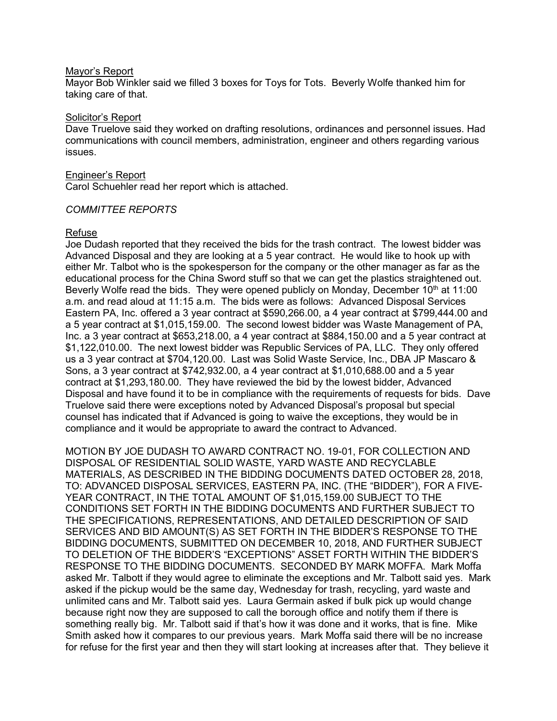#### Mayor's Report

Mayor Bob Winkler said we filled 3 boxes for Toys for Tots. Beverly Wolfe thanked him for taking care of that.

#### Solicitor's Report

Dave Truelove said they worked on drafting resolutions, ordinances and personnel issues. Had communications with council members, administration, engineer and others regarding various issues.

#### Engineer's Report

Carol Schuehler read her report which is attached.

### *COMMITTEE REPORTS*

### Refuse

Joe Dudash reported that they received the bids for the trash contract. The lowest bidder was Advanced Disposal and they are looking at a 5 year contract. He would like to hook up with either Mr. Talbot who is the spokesperson for the company or the other manager as far as the educational process for the China Sword stuff so that we can get the plastics straightened out. Beverly Wolfe read the bids. They were opened publicly on Monday, December  $10<sup>th</sup>$  at 11:00 a.m. and read aloud at 11:15 a.m. The bids were as follows: Advanced Disposal Services Eastern PA, Inc. offered a 3 year contract at \$590,266.00, a 4 year contract at \$799,444.00 and a 5 year contract at \$1,015,159.00. The second lowest bidder was Waste Management of PA, Inc. a 3 year contract at \$653,218.00, a 4 year contract at \$884,150.00 and a 5 year contract at \$1,122,010.00. The next lowest bidder was Republic Services of PA, LLC. They only offered us a 3 year contract at \$704,120.00. Last was Solid Waste Service, Inc., DBA JP Mascaro & Sons, a 3 year contract at \$742,932.00, a 4 year contract at \$1,010,688.00 and a 5 year contract at \$1,293,180.00. They have reviewed the bid by the lowest bidder, Advanced Disposal and have found it to be in compliance with the requirements of requests for bids. Dave Truelove said there were exceptions noted by Advanced Disposal's proposal but special counsel has indicated that if Advanced is going to waive the exceptions, they would be in compliance and it would be appropriate to award the contract to Advanced.

MOTION BY JOE DUDASH TO AWARD CONTRACT NO. 19-01, FOR COLLECTION AND DISPOSAL OF RESIDENTIAL SOLID WASTE, YARD WASTE AND RECYCLABLE MATERIALS, AS DESCRIBED IN THE BIDDING DOCUMENTS DATED OCTOBER 28, 2018, TO: ADVANCED DISPOSAL SERVICES, EASTERN PA, INC. (THE "BIDDER"), FOR A FIVE-YEAR CONTRACT, IN THE TOTAL AMOUNT OF \$1,015,159.00 SUBJECT TO THE CONDITIONS SET FORTH IN THE BIDDING DOCUMENTS AND FURTHER SUBJECT TO THE SPECIFICATIONS, REPRESENTATIONS, AND DETAILED DESCRIPTION OF SAID SERVICES AND BID AMOUNT(S) AS SET FORTH IN THE BIDDER'S RESPONSE TO THE BIDDING DOCUMENTS, SUBMITTED ON DECEMBER 10, 2018, AND FURTHER SUBJECT TO DELETION OF THE BIDDER'S "EXCEPTIONS" ASSET FORTH WITHIN THE BIDDER'S RESPONSE TO THE BIDDING DOCUMENTS. SECONDED BY MARK MOFFA. Mark Moffa asked Mr. Talbott if they would agree to eliminate the exceptions and Mr. Talbott said yes. Mark asked if the pickup would be the same day, Wednesday for trash, recycling, yard waste and unlimited cans and Mr. Talbott said yes. Laura Germain asked if bulk pick up would change because right now they are supposed to call the borough office and notify them if there is something really big. Mr. Talbott said if that's how it was done and it works, that is fine. Mike Smith asked how it compares to our previous years. Mark Moffa said there will be no increase for refuse for the first year and then they will start looking at increases after that. They believe it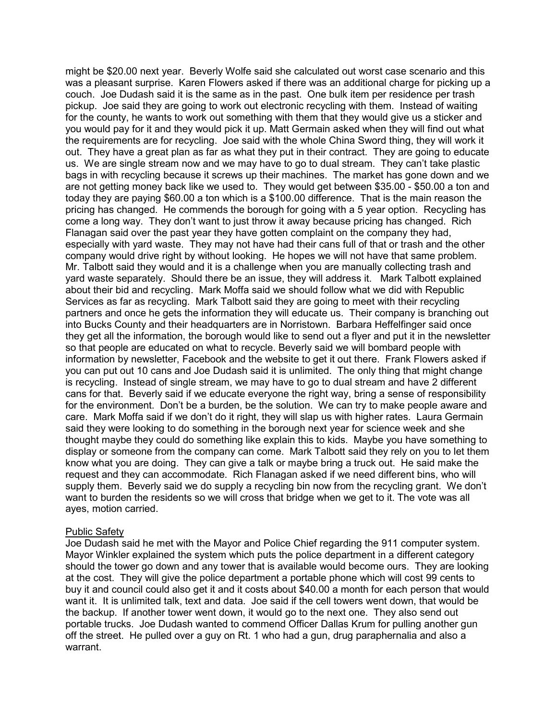might be \$20.00 next year. Beverly Wolfe said she calculated out worst case scenario and this was a pleasant surprise. Karen Flowers asked if there was an additional charge for picking up a couch. Joe Dudash said it is the same as in the past. One bulk item per residence per trash pickup. Joe said they are going to work out electronic recycling with them. Instead of waiting for the county, he wants to work out something with them that they would give us a sticker and you would pay for it and they would pick it up. Matt Germain asked when they will find out what the requirements are for recycling. Joe said with the whole China Sword thing, they will work it out. They have a great plan as far as what they put in their contract. They are going to educate us. We are single stream now and we may have to go to dual stream. They can't take plastic bags in with recycling because it screws up their machines. The market has gone down and we are not getting money back like we used to. They would get between \$35.00 - \$50.00 a ton and today they are paying \$60.00 a ton which is a \$100.00 difference. That is the main reason the pricing has changed. He commends the borough for going with a 5 year option. Recycling has come a long way. They don't want to just throw it away because pricing has changed. Rich Flanagan said over the past year they have gotten complaint on the company they had, especially with yard waste. They may not have had their cans full of that or trash and the other company would drive right by without looking. He hopes we will not have that same problem. Mr. Talbott said they would and it is a challenge when you are manually collecting trash and yard waste separately. Should there be an issue, they will address it. Mark Talbott explained about their bid and recycling. Mark Moffa said we should follow what we did with Republic Services as far as recycling. Mark Talbott said they are going to meet with their recycling partners and once he gets the information they will educate us. Their company is branching out into Bucks County and their headquarters are in Norristown. Barbara Heffelfinger said once they get all the information, the borough would like to send out a flyer and put it in the newsletter so that people are educated on what to recycle. Beverly said we will bombard people with information by newsletter, Facebook and the website to get it out there. Frank Flowers asked if you can put out 10 cans and Joe Dudash said it is unlimited. The only thing that might change is recycling. Instead of single stream, we may have to go to dual stream and have 2 different cans for that. Beverly said if we educate everyone the right way, bring a sense of responsibility for the environment. Don't be a burden, be the solution. We can try to make people aware and care. Mark Moffa said if we don't do it right, they will slap us with higher rates. Laura Germain said they were looking to do something in the borough next year for science week and she thought maybe they could do something like explain this to kids. Maybe you have something to display or someone from the company can come. Mark Talbott said they rely on you to let them know what you are doing. They can give a talk or maybe bring a truck out. He said make the request and they can accommodate. Rich Flanagan asked if we need different bins, who will supply them. Beverly said we do supply a recycling bin now from the recycling grant. We don't want to burden the residents so we will cross that bridge when we get to it. The vote was all ayes, motion carried.

### Public Safety

Joe Dudash said he met with the Mayor and Police Chief regarding the 911 computer system. Mayor Winkler explained the system which puts the police department in a different category should the tower go down and any tower that is available would become ours. They are looking at the cost. They will give the police department a portable phone which will cost 99 cents to buy it and council could also get it and it costs about \$40.00 a month for each person that would want it. It is unlimited talk, text and data. Joe said if the cell towers went down, that would be the backup. If another tower went down, it would go to the next one. They also send out portable trucks. Joe Dudash wanted to commend Officer Dallas Krum for pulling another gun off the street. He pulled over a guy on Rt. 1 who had a gun, drug paraphernalia and also a warrant.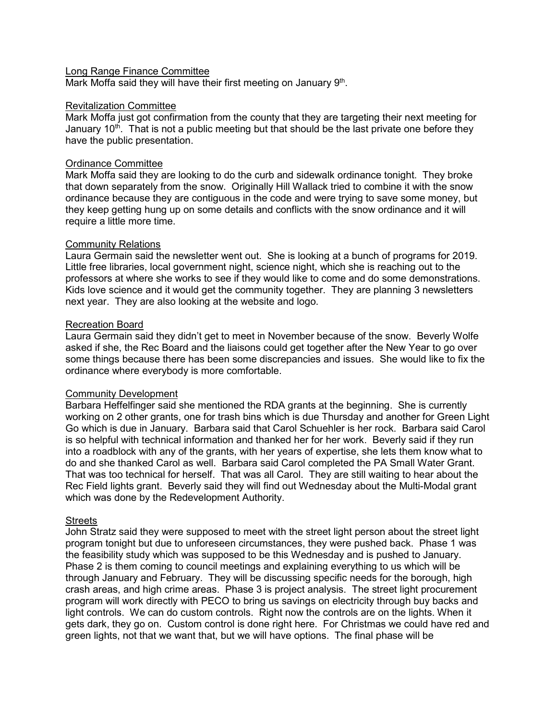### Long Range Finance Committee

Mark Moffa said they will have their first meeting on January 9<sup>th</sup>.

## Revitalization Committee

Mark Moffa just got confirmation from the county that they are targeting their next meeting for January 10<sup>th</sup>. That is not a public meeting but that should be the last private one before they have the public presentation.

# Ordinance Committee

Mark Moffa said they are looking to do the curb and sidewalk ordinance tonight. They broke that down separately from the snow. Originally Hill Wallack tried to combine it with the snow ordinance because they are contiguous in the code and were trying to save some money, but they keep getting hung up on some details and conflicts with the snow ordinance and it will require a little more time.

# Community Relations

Laura Germain said the newsletter went out. She is looking at a bunch of programs for 2019. Little free libraries, local government night, science night, which she is reaching out to the professors at where she works to see if they would like to come and do some demonstrations. Kids love science and it would get the community together. They are planning 3 newsletters next year. They are also looking at the website and logo.

# Recreation Board

Laura Germain said they didn't get to meet in November because of the snow. Beverly Wolfe asked if she, the Rec Board and the liaisons could get together after the New Year to go over some things because there has been some discrepancies and issues. She would like to fix the ordinance where everybody is more comfortable.

# Community Development

Barbara Heffelfinger said she mentioned the RDA grants at the beginning. She is currently working on 2 other grants, one for trash bins which is due Thursday and another for Green Light Go which is due in January. Barbara said that Carol Schuehler is her rock. Barbara said Carol is so helpful with technical information and thanked her for her work. Beverly said if they run into a roadblock with any of the grants, with her years of expertise, she lets them know what to do and she thanked Carol as well. Barbara said Carol completed the PA Small Water Grant. That was too technical for herself. That was all Carol. They are still waiting to hear about the Rec Field lights grant. Beverly said they will find out Wednesday about the Multi-Modal grant which was done by the Redevelopment Authority.

### Streets

John Stratz said they were supposed to meet with the street light person about the street light program tonight but due to unforeseen circumstances, they were pushed back. Phase 1 was the feasibility study which was supposed to be this Wednesday and is pushed to January. Phase 2 is them coming to council meetings and explaining everything to us which will be through January and February. They will be discussing specific needs for the borough, high crash areas, and high crime areas. Phase 3 is project analysis. The street light procurement program will work directly with PECO to bring us savings on electricity through buy backs and light controls. We can do custom controls. Right now the controls are on the lights. When it gets dark, they go on. Custom control is done right here. For Christmas we could have red and green lights, not that we want that, but we will have options. The final phase will be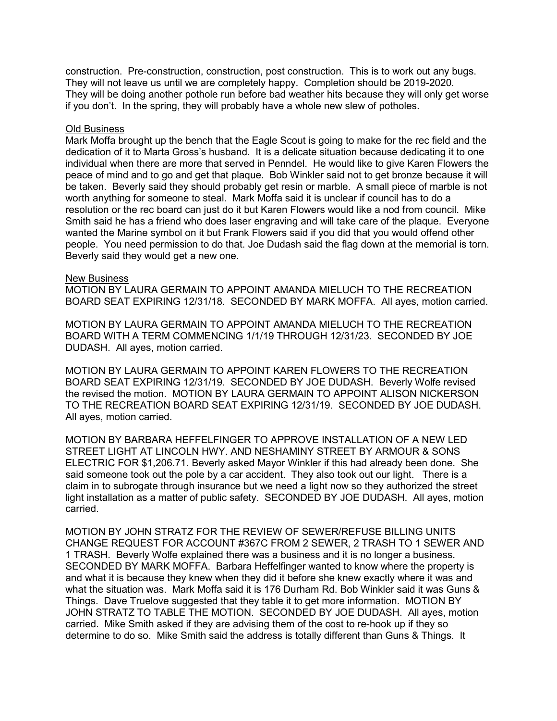construction. Pre-construction, construction, post construction. This is to work out any bugs. They will not leave us until we are completely happy. Completion should be 2019-2020. They will be doing another pothole run before bad weather hits because they will only get worse if you don't. In the spring, they will probably have a whole new slew of potholes.

#### Old Business

Mark Moffa brought up the bench that the Eagle Scout is going to make for the rec field and the dedication of it to Marta Gross's husband. It is a delicate situation because dedicating it to one individual when there are more that served in Penndel. He would like to give Karen Flowers the peace of mind and to go and get that plaque. Bob Winkler said not to get bronze because it will be taken. Beverly said they should probably get resin or marble. A small piece of marble is not worth anything for someone to steal. Mark Moffa said it is unclear if council has to do a resolution or the rec board can just do it but Karen Flowers would like a nod from council. Mike Smith said he has a friend who does laser engraving and will take care of the plaque. Everyone wanted the Marine symbol on it but Frank Flowers said if you did that you would offend other people. You need permission to do that. Joe Dudash said the flag down at the memorial is torn. Beverly said they would get a new one.

### New Business

MOTION BY LAURA GERMAIN TO APPOINT AMANDA MIELUCH TO THE RECREATION BOARD SEAT EXPIRING 12/31/18. SECONDED BY MARK MOFFA. All ayes, motion carried.

MOTION BY LAURA GERMAIN TO APPOINT AMANDA MIELUCH TO THE RECREATION BOARD WITH A TERM COMMENCING 1/1/19 THROUGH 12/31/23. SECONDED BY JOE DUDASH. All ayes, motion carried.

MOTION BY LAURA GERMAIN TO APPOINT KAREN FLOWERS TO THE RECREATION BOARD SEAT EXPIRING 12/31/19. SECONDED BY JOE DUDASH. Beverly Wolfe revised the revised the motion. MOTION BY LAURA GERMAIN TO APPOINT ALISON NICKERSON TO THE RECREATION BOARD SEAT EXPIRING 12/31/19. SECONDED BY JOE DUDASH. All ayes, motion carried.

MOTION BY BARBARA HEFFELFINGER TO APPROVE INSTALLATION OF A NEW LED STREET LIGHT AT LINCOLN HWY. AND NESHAMINY STREET BY ARMOUR & SONS ELECTRIC FOR \$1,206.71. Beverly asked Mayor Winkler if this had already been done. She said someone took out the pole by a car accident. They also took out our light. There is a claim in to subrogate through insurance but we need a light now so they authorized the street light installation as a matter of public safety. SECONDED BY JOE DUDASH. All ayes, motion carried.

MOTION BY JOHN STRATZ FOR THE REVIEW OF SEWER/REFUSE BILLING UNITS CHANGE REQUEST FOR ACCOUNT #367C FROM 2 SEWER, 2 TRASH TO 1 SEWER AND 1 TRASH. Beverly Wolfe explained there was a business and it is no longer a business. SECONDED BY MARK MOFFA. Barbara Heffelfinger wanted to know where the property is and what it is because they knew when they did it before she knew exactly where it was and what the situation was. Mark Moffa said it is 176 Durham Rd. Bob Winkler said it was Guns & Things. Dave Truelove suggested that they table it to get more information. MOTION BY JOHN STRATZ TO TABLE THE MOTION. SECONDED BY JOE DUDASH. All ayes, motion carried. Mike Smith asked if they are advising them of the cost to re-hook up if they so determine to do so. Mike Smith said the address is totally different than Guns & Things. It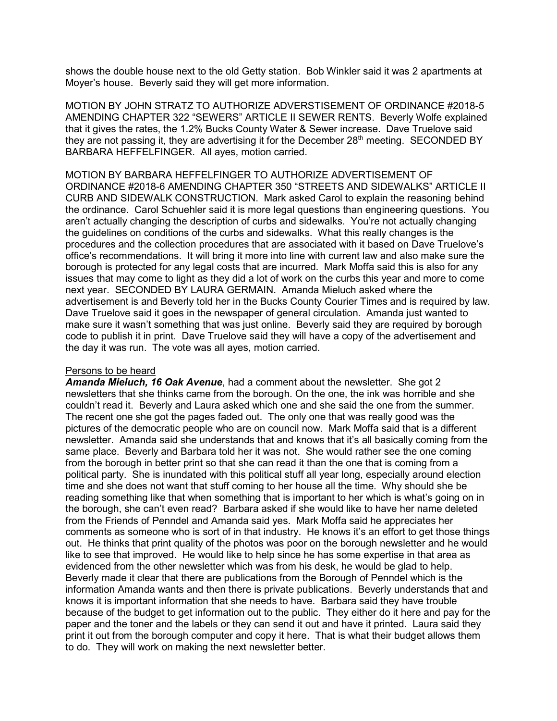shows the double house next to the old Getty station. Bob Winkler said it was 2 apartments at Moyer's house. Beverly said they will get more information.

MOTION BY JOHN STRATZ TO AUTHORIZE ADVERSTISEMENT OF ORDINANCE #2018-5 AMENDING CHAPTER 322 "SEWERS" ARTICLE II SEWER RENTS. Beverly Wolfe explained that it gives the rates, the 1.2% Bucks County Water & Sewer increase. Dave Truelove said they are not passing it, they are advertising it for the December 28<sup>th</sup> meeting. SECONDED BY BARBARA HEFFELFINGER. All ayes, motion carried.

MOTION BY BARBARA HEFFELFINGER TO AUTHORIZE ADVERTISEMENT OF ORDINANCE #2018-6 AMENDING CHAPTER 350 "STREETS AND SIDEWALKS" ARTICLE II CURB AND SIDEWALK CONSTRUCTION. Mark asked Carol to explain the reasoning behind the ordinance. Carol Schuehler said it is more legal questions than engineering questions. You aren't actually changing the description of curbs and sidewalks. You're not actually changing the guidelines on conditions of the curbs and sidewalks. What this really changes is the procedures and the collection procedures that are associated with it based on Dave Truelove's office's recommendations. It will bring it more into line with current law and also make sure the borough is protected for any legal costs that are incurred. Mark Moffa said this is also for any issues that may come to light as they did a lot of work on the curbs this year and more to come next year. SECONDED BY LAURA GERMAIN. Amanda Mieluch asked where the advertisement is and Beverly told her in the Bucks County Courier Times and is required by law. Dave Truelove said it goes in the newspaper of general circulation. Amanda just wanted to make sure it wasn't something that was just online. Beverly said they are required by borough code to publish it in print. Dave Truelove said they will have a copy of the advertisement and the day it was run. The vote was all ayes, motion carried.

#### Persons to be heard

*Amanda Mieluch, 16 Oak Avenue*, had a comment about the newsletter. She got 2 newsletters that she thinks came from the borough. On the one, the ink was horrible and she couldn't read it. Beverly and Laura asked which one and she said the one from the summer. The recent one she got the pages faded out. The only one that was really good was the pictures of the democratic people who are on council now. Mark Moffa said that is a different newsletter. Amanda said she understands that and knows that it's all basically coming from the same place. Beverly and Barbara told her it was not. She would rather see the one coming from the borough in better print so that she can read it than the one that is coming from a political party. She is inundated with this political stuff all year long, especially around election time and she does not want that stuff coming to her house all the time. Why should she be reading something like that when something that is important to her which is what's going on in the borough, she can't even read? Barbara asked if she would like to have her name deleted from the Friends of Penndel and Amanda said yes. Mark Moffa said he appreciates her comments as someone who is sort of in that industry. He knows it's an effort to get those things out. He thinks that print quality of the photos was poor on the borough newsletter and he would like to see that improved. He would like to help since he has some expertise in that area as evidenced from the other newsletter which was from his desk, he would be glad to help. Beverly made it clear that there are publications from the Borough of Penndel which is the information Amanda wants and then there is private publications. Beverly understands that and knows it is important information that she needs to have. Barbara said they have trouble because of the budget to get information out to the public. They either do it here and pay for the paper and the toner and the labels or they can send it out and have it printed. Laura said they print it out from the borough computer and copy it here. That is what their budget allows them to do. They will work on making the next newsletter better.